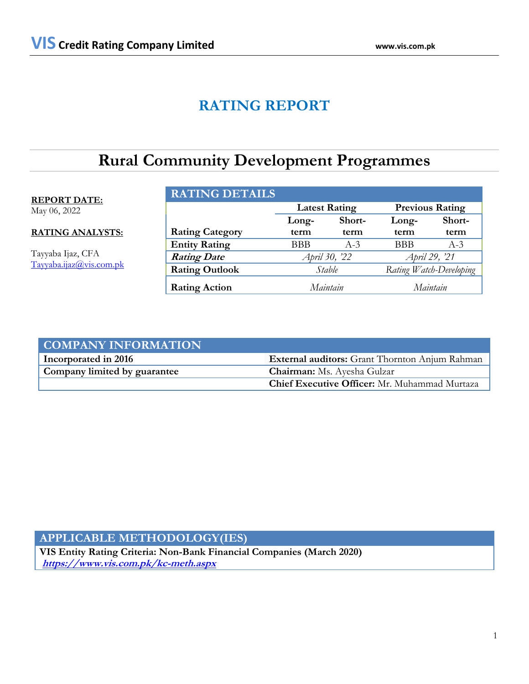# **RATING REPORT**

# **Rural Community Development Programmes**

### **REPORT DATE:**

May 06, 2022

**RATING ANALYSTS:**

Tayyaba Ijaz, CFA Tayyaba.ijaz@vis.com.pk

| <b>RATING DETAILS</b>  |                                                |               |               |                         |
|------------------------|------------------------------------------------|---------------|---------------|-------------------------|
|                        | <b>Previous Rating</b><br><b>Latest Rating</b> |               |               |                         |
|                        | Long-                                          | Short-        | Long-         | Short-                  |
| <b>Rating Category</b> | term                                           | term          | term          | term                    |
| <b>Entity Rating</b>   | <b>BBB</b>                                     | $A-3$         | <b>BBB</b>    | $A-3$                   |
| <b>Rating Date</b>     |                                                | April 30, '22 | April 29, '21 |                         |
| <b>Rating Outlook</b>  |                                                | Stable        |               | Rating Watch-Developing |
| <b>Rating Action</b>   |                                                | Maintain      |               | Maintain                |

| <b>COMPANY INFORMATION</b>   |                                                       |
|------------------------------|-------------------------------------------------------|
| Incorporated in 2016         | <b>External auditors:</b> Grant Thornton Anjum Rahman |
| Company limited by guarantee | <b>Chairman:</b> Ms. Ayesha Gulzar                    |
|                              | Chief Executive Officer: Mr. Muhammad Murtaza         |

### **APPLICABLE METHODOLOGY(IES)**

**VIS Entity Rating Criteria: Non-Bank Financial Companies (March 2020) <https://www.vis.com.pk/kc-meth.aspx>**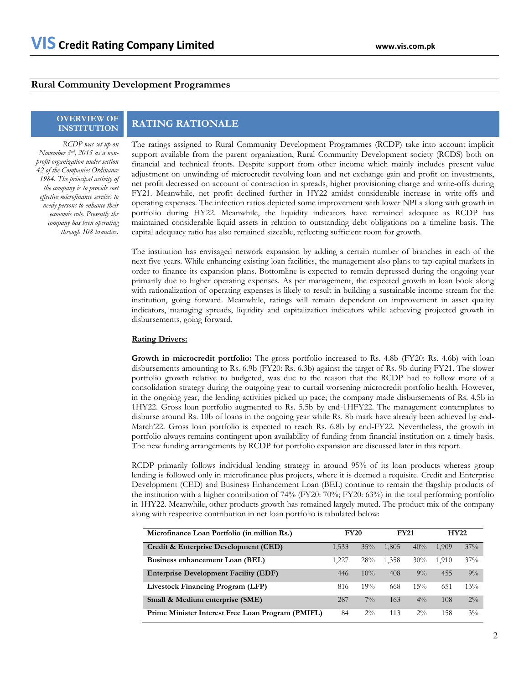### **Rural Community Development Programmes**

# **OVERVIEW OF**

*RCDP was set up on November 3rd, 2015 as a nonprofit organization under section 42 of the Companies Ordinance 1984. The principal activity of the company is to provide cost effective microfinance services to needy persons to enhance their economic role. Presently the company has been operating through 108 branches.* 

## **INSTITUTION RATING RATIONALE**

The ratings assigned to Rural Community Development Programmes (RCDP) take into account implicit support available from the parent organization, Rural Community Development society (RCDS) both on financial and technical fronts. Despite support from other income which mainly includes present value adjustment on unwinding of microcredit revolving loan and net exchange gain and profit on investments, net profit decreased on account of contraction in spreads, higher provisioning charge and write-offs during FY21. Meanwhile, net profit declined further in HY22 amidst considerable increase in write-offs and operating expenses. The infection ratios depicted some improvement with lower NPLs along with growth in portfolio during HY22. Meanwhile, the liquidity indicators have remained adequate as RCDP has maintained considerable liquid assets in relation to outstanding debt obligations on a timeline basis. The capital adequacy ratio has also remained sizeable, reflecting sufficient room for growth.

The institution has envisaged network expansion by adding a certain number of branches in each of the next five years. While enhancing existing loan facilities, the management also plans to tap capital markets in order to finance its expansion plans. Bottomline is expected to remain depressed during the ongoing year primarily due to higher operating expenses. As per management, the expected growth in loan book along with rationalization of operating expenses is likely to result in building a sustainable income stream for the institution, going forward. Meanwhile, ratings will remain dependent on improvement in asset quality indicators, managing spreads, liquidity and capitalization indicators while achieving projected growth in disbursements, going forward.

### **Rating Drivers:**

**Growth in microcredit portfolio:** The gross portfolio increased to Rs. 4.8b (FY20: Rs. 4.6b) with loan disbursements amounting to Rs. 6.9b (FY20: Rs. 6.3b) against the target of Rs. 9b during FY21. The slower portfolio growth relative to budgeted, was due to the reason that the RCDP had to follow more of a consolidation strategy during the outgoing year to curtail worsening microcredit portfolio health. However, in the ongoing year, the lending activities picked up pace; the company made disbursements of Rs. 4.5b in 1HY22. Gross loan portfolio augmented to Rs. 5.5b by end-1HFY22. The management contemplates to disburse around Rs. 10b of loans in the ongoing year while Rs. 8b mark have already been achieved by end-March'22. Gross loan portfolio is expected to reach Rs. 6.8b by end-FY22. Nevertheless, the growth in portfolio always remains contingent upon availability of funding from financial institution on a timely basis. The new funding arrangements by RCDP for portfolio expansion are discussed later in this report.

RCDP primarily follows individual lending strategy in around 95% of its loan products whereas group lending is followed only in microfinance plus projects, where it is deemed a requisite. Credit and Enterprise Development (CED) and Business Enhancement Loan (BEL) continue to remain the flagship products of the institution with a higher contribution of 74% (FY20: 70%; FY20: 63%) in the total performing portfolio in 1HY22. Meanwhile, other products growth has remained largely muted. The product mix of the company along with respective contribution in net loan portfolio is tabulated below:

| Microfinance Loan Portfolio (in million Rs.)      | <b>FY20</b> |        | <b>FY21</b> |       | <b>HY22</b> |       |
|---------------------------------------------------|-------------|--------|-------------|-------|-------------|-------|
| Credit & Enterprise Development (CED)             | 1,533       | $35\%$ | 1.805       | 40%   | 1.909       | 37%   |
| Business enhancement Loan (BEL)                   | 1.227       | 28%    | 1.358       | 30%   | 1.910       | 37%   |
| <b>Enterprise Development Facility (EDF)</b>      | 446         | $10\%$ | 408         | $9\%$ | 455         | $9\%$ |
| Livestock Financing Program (LFP)                 | 816         | 19%    | 668         | 15%   | 651         | 13%   |
| Small & Medium enterprise (SME)                   | 287         | $7\%$  | 163         | $4\%$ | 108         | $2\%$ |
| Prime Minister Interest Free Loan Program (PMIFL) | 84          | $2\%$  | 113         | $2\%$ | 158         | $3\%$ |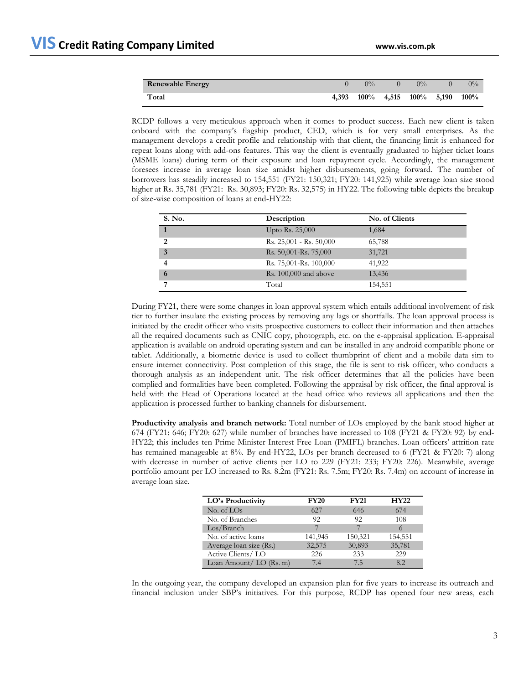| <b>Renewable Energy</b> |       | $0\%$                               | $0\%$ | $0\%$ |
|-------------------------|-------|-------------------------------------|-------|-------|
| Total                   | 4.393 | $100\%$ 4,515 $100\%$ 5,190 $100\%$ |       |       |

RCDP follows a very meticulous approach when it comes to product success. Each new client is taken onboard with the company's flagship product, CED, which is for very small enterprises. As the management develops a credit profile and relationship with that client, the financing limit is enhanced for repeat loans along with add-ons features. This way the client is eventually graduated to higher ticket loans (MSME loans) during term of their exposure and loan repayment cycle. Accordingly, the management foresees increase in average loan size amidst higher disbursements, going forward. The number of borrowers has steadily increased to 154,551 (FY21: 150,321; FY20: 141,925) while average loan size stood higher at Rs. 35,781 (FY21: Rs. 30,893; FY20: Rs. 32,575) in HY22. The following table depicts the breakup of size-wise composition of loans at end-HY22:

| S. No.       | Description               | No. of Clients |
|--------------|---------------------------|----------------|
| $\mathbf{1}$ | Upto Rs. 25,000           | 1,684          |
| ∍            | $Rs. 25,001 - Rs. 50,000$ | 65,788         |
| 3            | Rs. 50,001-Rs. 75,000     | 31,721         |
|              | Rs. 75,001-Rs. 100,000    | 41,922         |
| 6            | Rs. 100,000 and above     | 13,436         |
|              | Total                     | 154,551        |

During FY21, there were some changes in loan approval system which entails additional involvement of risk tier to further insulate the existing process by removing any lags or shortfalls. The loan approval process is initiated by the credit officer who visits prospective customers to collect their information and then attaches all the required documents such as CNIC copy, photograph, etc. on the e-appraisal application. E-appraisal application is available on android operating system and can be installed in any android compatible phone or tablet. Additionally, a biometric device is used to collect thumbprint of client and a mobile data sim to ensure internet connectivity. Post completion of this stage, the file is sent to risk officer, who conducts a thorough analysis as an independent unit. The risk officer determines that all the policies have been complied and formalities have been completed. Following the appraisal by risk officer, the final approval is held with the Head of Operations located at the head office who reviews all applications and then the application is processed further to banking channels for disbursement.

**Productivity analysis and branch network:** Total number of LOs employed by the bank stood higher at 674 (FY21: 646; FY20: 627) while number of branches have increased to 108 (FY21 & FY20: 92) by end-HY22; this includes ten Prime Minister Interest Free Loan (PMIFL) branches. Loan officers' attrition rate has remained manageable at 8%. By end-HY22, LOs per branch decreased to 6 (FY21 & FY20: 7) along with decrease in number of active clients per LO to 229 (FY21: 233; FY20: 226). Meanwhile, average portfolio amount per LO increased to Rs. 8.2m (FY21: Rs. 7.5m; FY20: Rs. 7.4m) on account of increase in average loan size.

| LO's Productivity       | <b>FY20</b> | <b>FY21</b> | <b>HY22</b> |
|-------------------------|-------------|-------------|-------------|
| No. of LOs              | 627         | 646         | 674         |
| No. of Branches         | 92          | 92          | 108         |
| Los/Branch              |             |             | 6           |
| No. of active loans     | 141,945     | 150,321     | 154,551     |
| Average loan size (Rs.) | 32,575      | 30,893      | 35,781      |
| Active Clients/LO       | 226         | 233         | 229         |
| Loan Amount/LO (Rs. m)  | 7.4         | 75          | 82          |

In the outgoing year, the company developed an expansion plan for five years to increase its outreach and financial inclusion under SBP's initiatives. For this purpose, RCDP has opened four new areas, each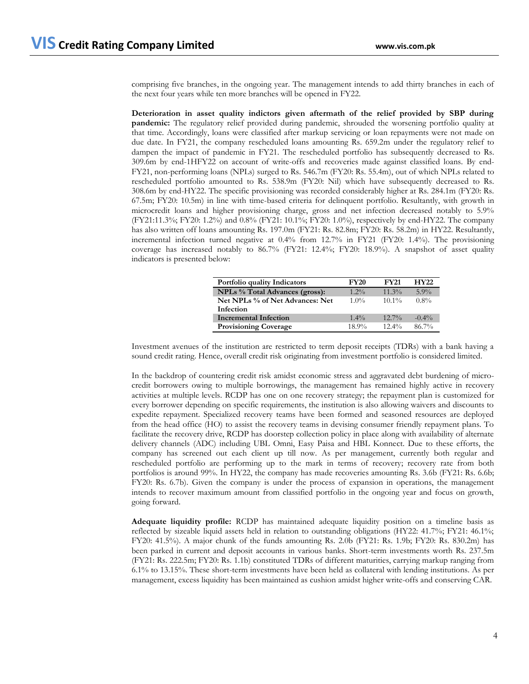comprising five branches, in the ongoing year. The management intends to add thirty branches in each of the next four years while ten more branches will be opened in FY22.

**Deterioration in asset quality indictors given aftermath of the relief provided by SBP during pandemic:** The regulatory relief provided during pandemic, shrouded the worsening portfolio quality at that time. Accordingly, loans were classified after markup servicing or loan repayments were not made on due date. In FY21, the company rescheduled loans amounting Rs. 659.2m under the regulatory relief to dampen the impact of pandemic in FY21. The rescheduled portfolio has subsequently decreased to Rs. 309.6m by end-1HFY22 on account of write-offs and recoveries made against classified loans. By end-FY21, non-performing loans (NPLs) surged to Rs. 546.7m (FY20: Rs. 55.4m), out of which NPLs related to rescheduled portfolio amounted to Rs. 538.9m (FY20: Nil) which have subsequently decreased to Rs. 308.6m by end-HY22. The specific provisioning was recorded considerably higher at Rs. 284.1m (FY20: Rs. 67.5m; FY20: 10.5m) in line with time-based criteria for delinquent portfolio. Resultantly, with growth in microcredit loans and higher provisioning charge, gross and net infection decreased notably to 5.9% (FY21:11.3%; FY20: 1.2%) and 0.8% (FY21: 10.1%; FY20: 1.0%), respectively by end-HY22. The company has also written off loans amounting Rs. 197.0m (FY21: Rs. 82.8m; FY20: Rs. 58.2m) in HY22. Resultantly, incremental infection turned negative at 0.4% from 12.7% in FY21 (FY20: 1.4%). The provisioning coverage has increased notably to 86.7% (FY21: 12.4%; FY20: 18.9%). A snapshot of asset quality indicators is presented below:

| Portfolio quality Indicators          | <b>FY20</b> | <b>FY21</b> | HY22     |
|---------------------------------------|-------------|-------------|----------|
| <b>NPLs</b> % Total Advances (gross): | $1.2\%$     | $11.3\%$    | $5.9\%$  |
| Net NPLs % of Net Advances: Net       | $1.0\%$     | $10.1\%$    | $0.8\%$  |
| Infection                             |             |             |          |
| Incremental Infection                 | $1.4\%$     | $12.7\%$    | $-0.4\%$ |
| <b>Provisioning Coverage</b>          | $18.9\%$    | $12.4\%$    | $86.7\%$ |

Investment avenues of the institution are restricted to term deposit receipts (TDRs) with a bank having a sound credit rating. Hence, overall credit risk originating from investment portfolio is considered limited.

In the backdrop of countering credit risk amidst economic stress and aggravated debt burdening of microcredit borrowers owing to multiple borrowings, the management has remained highly active in recovery activities at multiple levels. RCDP has one on one recovery strategy; the repayment plan is customized for every borrower depending on specific requirements, the institution is also allowing waivers and discounts to expedite repayment. Specialized recovery teams have been formed and seasoned resources are deployed from the head office (HO) to assist the recovery teams in devising consumer friendly repayment plans. To facilitate the recovery drive, RCDP has doorstep collection policy in place along with availability of alternate delivery channels (ADC) including UBL Omni, Easy Paisa and HBL Konnect. Due to these efforts, the company has screened out each client up till now. As per management, currently both regular and rescheduled portfolio are performing up to the mark in terms of recovery; recovery rate from both portfolios is around 99%. In HY22, the company has made recoveries amounting Rs. 3.6b (FY21: Rs. 6.6b; FY20: Rs. 6.7b). Given the company is under the process of expansion in operations, the management intends to recover maximum amount from classified portfolio in the ongoing year and focus on growth, going forward.

**Adequate liquidity profile:** RCDP has maintained adequate liquidity position on a timeline basis as reflected by sizeable liquid assets held in relation to outstanding obligations (HY22: 41.7%; FY21: 46.1%; FY20: 41.5%). A major chunk of the funds amounting Rs. 2.0b (FY21: Rs. 1.9b; FY20: Rs. 830.2m) has been parked in current and deposit accounts in various banks. Short-term investments worth Rs. 237.5m (FY21: Rs. 222.5m; FY20: Rs. 1.1b) constituted TDRs of different maturities, carrying markup ranging from 6.1% to 13.15%. These short-term investments have been held as collateral with lending institutions. As per management, excess liquidity has been maintained as cushion amidst higher write-offs and conserving CAR.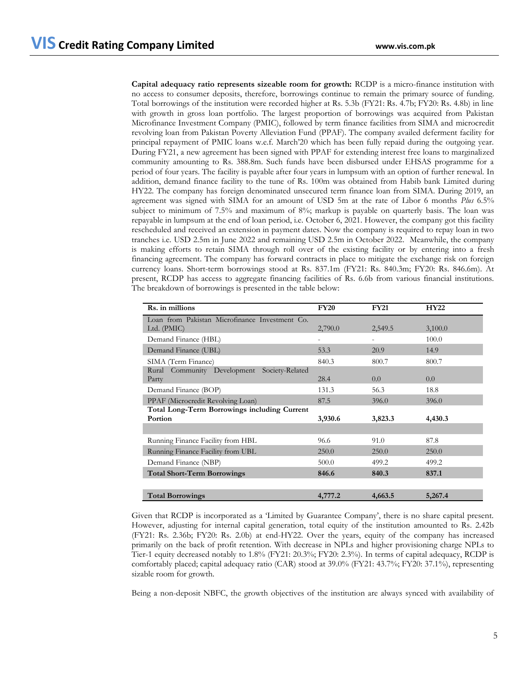**Capital adequacy ratio represents sizeable room for growth:** RCDP is a micro-finance institution with no access to consumer deposits, therefore, borrowings continue to remain the primary source of funding. Total borrowings of the institution were recorded higher at Rs. 5.3b (FY21: Rs. 4.7b; FY20: Rs. 4.8b) in line with growth in gross loan portfolio. The largest proportion of borrowings was acquired from Pakistan Microfinance Investment Company (PMIC), followed by term finance facilities from SIMA and microcredit revolving loan from Pakistan Poverty Alleviation Fund (PPAF). The company availed deferment facility for principal repayment of PMIC loans w.e.f. March'20 which has been fully repaid during the outgoing year. During FY21, a new agreement has been signed with PPAF for extending interest free loans to marginalized community amounting to Rs. 388.8m. Such funds have been disbursed under EHSAS programme for a period of four years. The facility is payable after four years in lumpsum with an option of further renewal. In addition, demand finance facility to the tune of Rs. 100m was obtained from Habib bank Limited during HY22. The company has foreign denominated unsecured term finance loan from SIMA. During 2019, an agreement was signed with SIMA for an amount of USD 5m at the rate of Libor 6 months *Plus* 6.5% subject to minimum of 7.5% and maximum of 8%; markup is payable on quarterly basis. The loan was repayable in lumpsum at the end of loan period, i.e. October 6, 2021. However, the company got this facility rescheduled and received an extension in payment dates. Now the company is required to repay loan in two tranches i.e. USD 2.5m in June 2022 and remaining USD 2.5m in October 2022. Meanwhile, the company is making efforts to retain SIMA through roll over of the existing facility or by entering into a fresh financing agreement. The company has forward contracts in place to mitigate the exchange risk on foreign currency loans. Short-term borrowings stood at Rs. 837.1m (FY21: Rs. 840.3m; FY20: Rs. 846.6m). At present, RCDP has access to aggregate financing facilities of Rs. 6.6b from various financial institutions. The breakdown of borrowings is presented in the table below:

| Rs. in millions                                | <b>FY20</b> | <b>FY21</b> | <b>HY22</b> |
|------------------------------------------------|-------------|-------------|-------------|
| Loan from Pakistan Microfinance Investment Co. |             |             |             |
| Ltd. (PMIC)                                    | 2,790.0     | 2,549.5     | 3,100.0     |
| Demand Finance (HBL)                           |             |             | 100.0       |
| Demand Finance (UBL)                           | 53.3        | 20.9        | 14.9        |
| SIMA (Term Finance)                            | 840.3       | 800.7       | 800.7       |
| Rural Community Development Society-Related    |             |             |             |
| Party                                          | 28.4        | $0.0\,$     | 0.0         |
| Demand Finance (BOP)                           | 131.3       | 56.3        | 18.8        |
| PPAF (Microcredit Revolving Loan)              | 87.5        | 396.0       | 396.0       |
| Total Long-Term Borrowings including Current   |             |             |             |
| Portion                                        | 3,930.6     | 3,823.3     | 4,430.3     |
|                                                |             |             |             |
| Running Finance Facility from HBL              | 96.6        | 91.0        | 87.8        |
| Running Finance Facility from UBL              | 250.0       | 250.0       | 250.0       |
| Demand Finance (NBP)                           | 500.0       | 499.2       | 499.2       |
| <b>Total Short-Term Borrowings</b>             | 846.6       | 840.3       | 837.1       |
|                                                |             |             |             |
| <b>Total Borrowings</b>                        | 4,777.2     | 4,663.5     | 5,267.4     |

Given that RCDP is incorporated as a 'Limited by Guarantee Company', there is no share capital present. However, adjusting for internal capital generation, total equity of the institution amounted to Rs. 2.42b (FY21: Rs. 2.36b; FY20: Rs. 2.0b) at end-HY22. Over the years, equity of the company has increased primarily on the back of profit retention. With decrease in NPLs and higher provisioning charge NPLs to Tier-1 equity decreased notably to 1.8% (FY21: 20.3%; FY20: 2.3%). In terms of capital adequacy, RCDP is comfortably placed; capital adequacy ratio (CAR) stood at 39.0% (FY21: 43.7%; FY20: 37.1%), representing sizable room for growth.

Being a non-deposit NBFC, the growth objectives of the institution are always synced with availability of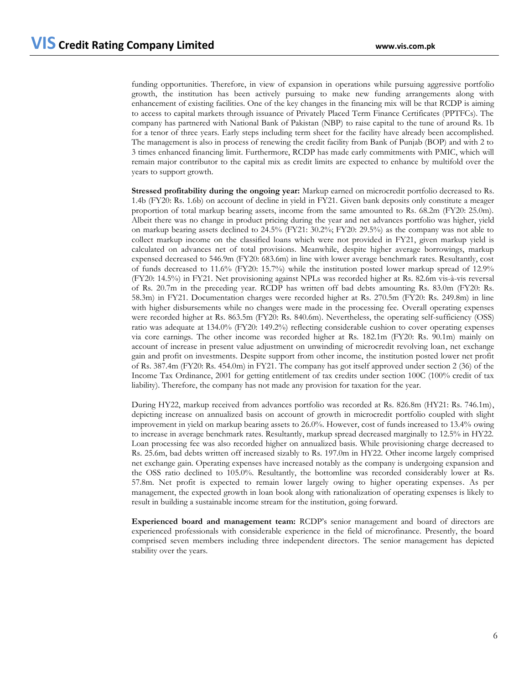funding opportunities. Therefore, in view of expansion in operations while pursuing aggressive portfolio growth, the institution has been actively pursuing to make new funding arrangements along with enhancement of existing facilities. One of the key changes in the financing mix will be that RCDP is aiming to access to capital markets through issuance of Privately Placed Term Finance Certificates (PPTFCs). The company has partnered with National Bank of Pakistan (NBP) to raise capital to the tune of around Rs. 1b for a tenor of three years. Early steps including term sheet for the facility have already been accomplished. The management is also in process of renewing the credit facility from Bank of Punjab (BOP) and with 2 to 3 times enhanced financing limit. Furthermore, RCDP has made early commitments with PMIC, which will remain major contributor to the capital mix as credit limits are expected to enhance by multifold over the years to support growth.

**Stressed profitability during the ongoing year:** Markup earned on microcredit portfolio decreased to Rs. 1.4b (FY20: Rs. 1.6b) on account of decline in yield in FY21. Given bank deposits only constitute a meager proportion of total markup bearing assets, income from the same amounted to Rs. 68.2m (FY20: 25.0m). Albeit there was no change in product pricing during the year and net advances portfolio was higher, yield on markup bearing assets declined to 24.5% (FY21: 30.2%; FY20: 29.5%) as the company was not able to collect markup income on the classified loans which were not provided in FY21, given markup yield is calculated on advances net of total provisions. Meanwhile, despite higher average borrowings, markup expensed decreased to 546.9m (FY20: 683.6m) in line with lower average benchmark rates. Resultantly, cost of funds decreased to 11.6% (FY20: 15.7%) while the institution posted lower markup spread of 12.9% (FY20: 14.5%) in FY21. Net provisioning against NPLs was recorded higher at Rs. 82.6m vis-à-vis reversal of Rs. 20.7m in the preceding year. RCDP has written off bad debts amounting Rs. 83.0m (FY20: Rs. 58.3m) in FY21. Documentation charges were recorded higher at Rs. 270.5m (FY20: Rs. 249.8m) in line with higher disbursements while no changes were made in the processing fee. Overall operating expenses were recorded higher at Rs. 863.5m (FY20: Rs. 840.6m). Nevertheless, the operating self-sufficiency (OSS) ratio was adequate at 134.0% (FY20: 149.2%) reflecting considerable cushion to cover operating expenses via core earnings. The other income was recorded higher at Rs. 182.1m (FY20: Rs. 90.1m) mainly on account of increase in present value adjustment on unwinding of microcredit revolving loan, net exchange gain and profit on investments. Despite support from other income, the institution posted lower net profit of Rs. 387.4m (FY20: Rs. 454.0m) in FY21. The company has got itself approved under section 2 (36) of the Income Tax Ordinance, 2001 for getting entitlement of tax credits under section 100C (100% credit of tax liability). Therefore, the company has not made any provision for taxation for the year.

During HY22, markup received from advances portfolio was recorded at Rs. 826.8m (HY21: Rs. 746.1m), depicting increase on annualized basis on account of growth in microcredit portfolio coupled with slight improvement in yield on markup bearing assets to 26.0%. However, cost of funds increased to 13.4% owing to increase in average benchmark rates. Resultantly, markup spread decreased marginally to 12.5% in HY22. Loan processing fee was also recorded higher on annualized basis. While provisioning charge decreased to Rs. 25.6m, bad debts written off increased sizably to Rs. 197.0m in HY22. Other income largely comprised net exchange gain. Operating expenses have increased notably as the company is undergoing expansion and the OSS ratio declined to 105.0%. Resultantly, the bottomline was recorded considerably lower at Rs. 57.8m. Net profit is expected to remain lower largely owing to higher operating expenses. As per management, the expected growth in loan book along with rationalization of operating expenses is likely to result in building a sustainable income stream for the institution, going forward.

**Experienced board and management team:** RCDP's senior management and board of directors are experienced professionals with considerable experience in the field of microfinance. Presently, the board comprised seven members including three independent directors. The senior management has depicted stability over the years.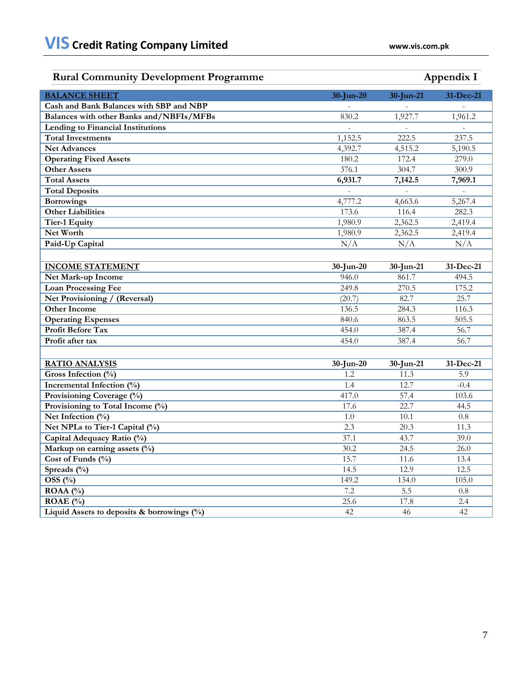# **Rural Community Development Programme Appendix I**

| <b>BALANCE SHEET</b>                          | $30$ -Jun-20 | 30-Jun-21            | 31-Dec-21     |
|-----------------------------------------------|--------------|----------------------|---------------|
| Cash and Bank Balances with SBP and NBP       |              |                      |               |
| Balances with other Banks and/NBFIs/MFBs      | 830.2        | 1,927.7              | 1,961.2       |
| Lending to Financial Institutions             |              |                      | $\frac{1}{2}$ |
| <b>Total Investments</b>                      | 1,152.5      | 222.5                | 237.5         |
| <b>Net Advances</b>                           | 4,392.7      | 4,515.2              | 5,190.5       |
| <b>Operating Fixed Assets</b>                 | 180.2        | 172.4                | 279.0         |
| <b>Other Assets</b>                           | 376.1        | 304.7                | 300.9         |
| <b>Total Assets</b>                           | 6,931.7      | 7,142.5              | 7,969.1       |
| <b>Total Deposits</b>                         |              |                      |               |
| <b>Borrowings</b>                             | 4,777.2      | 4,663.6              | 5,267.4       |
| <b>Other Liabilities</b>                      | 173.6        | 116.4                | 282.3         |
| <b>Tier-1 Equity</b>                          | 1,980.9      | 2,362.5              | 2,419.4       |
| Net Worth                                     | 1,980.9      | $2,362.\overline{5}$ | 2,419.4       |
| Paid-Up Capital                               | N/A          | N/A                  | N/A           |
|                                               |              |                      |               |
| <b>INCOME STATEMENT</b>                       | $30$ -Jun-20 | 30-Jun-21            | 31-Dec-21     |
| Net Mark-up Income                            | 946.0        | 861.7                | 494.5         |
| <b>Loan Processing Fee</b>                    | 249.8        | 270.5                | 175.2         |
| Net Provisioning / (Reversal)                 | (20.7)       | 82.7                 | 25.7          |
| <b>Other Income</b>                           | 136.5        | 284.3                | 116.3         |
| <b>Operating Expenses</b>                     | 840.6        | 863.5                | 505.5         |
| <b>Profit Before Tax</b>                      | 454.0        | 387.4                | 56.7          |
| Profit after tax                              | 454.0        | 387.4                | 56.7          |
|                                               |              |                      |               |
| <b>RATIO ANALYSIS</b>                         | $30$ -Jun-20 | 30-Jun-21            | 31-Dec-21     |
| Gross Infection (%)                           | 1.2          | 11.3                 | 5.9           |
| Incremental Infection (%)                     | 1.4          | 12.7                 | $-0.4$        |
| Provisioning Coverage (%)                     | 417.0        | 57.4                 | 103.6         |
| Provisioning to Total Income (%)              | 17.6         | 22.7                 | 44.5          |
| Net Infection $\overline{(^{0}_{0})}$         | 1.0          | 10.1                 | 0.8           |
| Net NPLs to Tier-1 Capital (%)                | 2.3          | 20.3                 | 11.3          |
| Capital Adequacy Ratio (%)                    | 37.1         | 43.7                 | 39.0          |
| Markup on earning assets (%)                  | 30.2         | 24.5                 | 26.0          |
| Cost of Funds (%)                             | 15.7         | 11.6                 | 13.4          |
| Spreads (%)                                   | 14.5         | 12.9                 | 12.5          |
| OSS(%)                                        | 149.2        | 134.0                | 105.0         |
| ROAA (%)                                      | 7.2          | 5.5                  | 0.8           |
| $\overline{\text{ROAE}}$ (%)                  | 25.6         | 17.8                 | 2.4           |
| Liquid Assets to deposits & borrowings $(\%)$ | 42           | 46                   | 42            |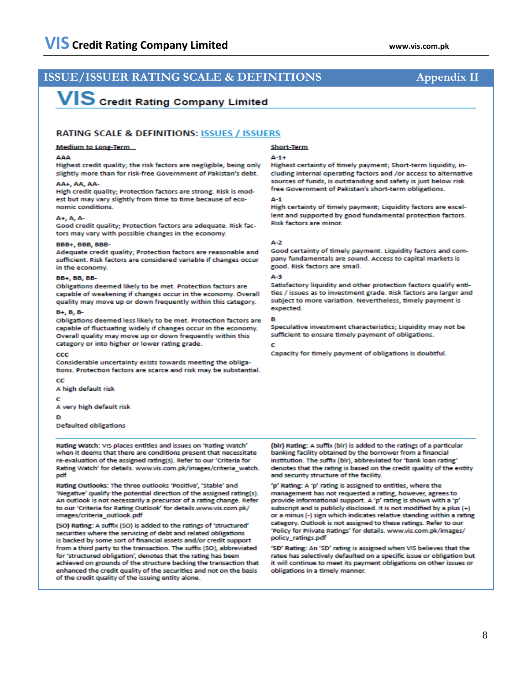## **ISSUE/ISSUER RATING SCALE & DEFINITIONS Appendix II**

# **VIS** Credit Rating Company Limited

### RATING SCALE & DEFINITIONS: ISSUES / ISSUERS

### **Medium to Long-Term**

#### AAA

Highest credit quality: the risk factors are negligible, being only slightly more than for risk-free Government of Pakistan's debt.

#### AA+ AA AA-

High credit quality; Protection factors are strong. Risk is modest but may vary slightly from time to time because of economic conditions.

#### A+, A, A-

Good credit quality; Protection factors are adequate. Risk factors may vary with possible changes in the economy.

#### **BBB+, BBB, BBB-**

Adequate credit quality; Protection factors are reasonable and sufficient. Risk factors are considered variable if changes occur in the economy.

#### BB+, BB, BB-

Obligations deemed likely to be met. Protection factors are capable of weakening if changes occur in the economy. Overall quality may move up or down frequently within this category.

### $B+, B, B-$

Obligations deemed less likely to be met. Protection factors are capable of fluctuating widely if changes occur in the economy. Overall quality may move up or down frequently within this category or into higher or lower rating grade.

#### $ccc$

Considerable uncertainty exists towards meeting the obligations. Protection factors are scarce and risk may be substantial.

 $_{cc}$ 

A high default risk

c

A very high default risk

D

**Defaulted obligations** 

Rating Watch: VIS places entities and issues on 'Rating Watch' when it deems that there are conditions present that necessitate re-evaluation of the assigned rating(s). Refer to our 'Criteria for Rating Watch' for details. www.vis.com.pk/images/criteria\_watch. pdf

Rating Outlooks: The three outlooks 'Positive', 'Stable' and 'Negative' qualify the potential direction of the assigned rating(s). An outlook is not necessarily a precursor of a rating change. Refer to our 'Criteria for Rating Outlook' for details.www.vis.com.pk/ images/criteria\_outlook.pdf

(SO) Rating: A suffix (SO) is added to the ratings of 'structured' securities where the servicing of debt and related obligations is backed by some sort of financial assets and/or credit support from a third party to the transaction. The suffix (SO), abbreviated for 'structured obligation', denotes that the rating has been achieved on grounds of the structure backing the transaction that enhanced the credit quality of the securities and not on the basis of the credit quality of the issuing entity alone.

#### **Short-Term**

#### $A-1+$

Highest certainty of timely payment: Short-term liquidity, including internal operating factors and /or access to alternative sources of funds, is outstanding and safety is just below risk free Government of Pakistan's short-term obligations.

#### $\mathbf{A}$ -1

High certainty of timely payment; Liquidity factors are excellent and supported by good fundamental protection factors. **Risk factors are minor.** 

#### $A-2$

Good certainty of timely payment. Liquidity factors and company fundamentals are sound. Access to capital markets is good. Risk factors are small.

#### A-3

Satisfactory liquidity and other protection factors qualify entities / issues as to investment grade. Risk factors are larger and subject to more variation. Nevertheless, timely payment is expected.

Speculative investment characteristics: Liquidity may not be sufficient to ensure timely payment of obligations.

#### Ċ

Capacity for timely payment of obligations is doubtful.

(bir) Rating: A suffix (bir) is added to the ratings of a particular banking facility obtained by the borrower from a financial institution. The suffix (blr), abbreviated for 'bank loan rating' denotes that the rating is based on the credit quality of the entity and security structure of the facility.

'p' Rating: A 'p' rating is assigned to entities, where the management has not requested a rating, however, agrees to provide informational support. A 'p' rating is shown with a 'p' subscript and is publicly disclosed. It is not modified by a plus (+) or a minus (-) sign which indicates relative standing within a rating category. Outlook is not assigned to these ratings. Refer to our 'Policy for Private Ratings' for details. www.vis.com.pk/images/ policy ratings.pdf

'SD' Rating: An 'SD' rating is assigned when VIS believes that the ratee has selectively defaulted on a specific issue or obligation but it will continue to meet its payment obligations on other issues or obligations in a timely manner.

### 8